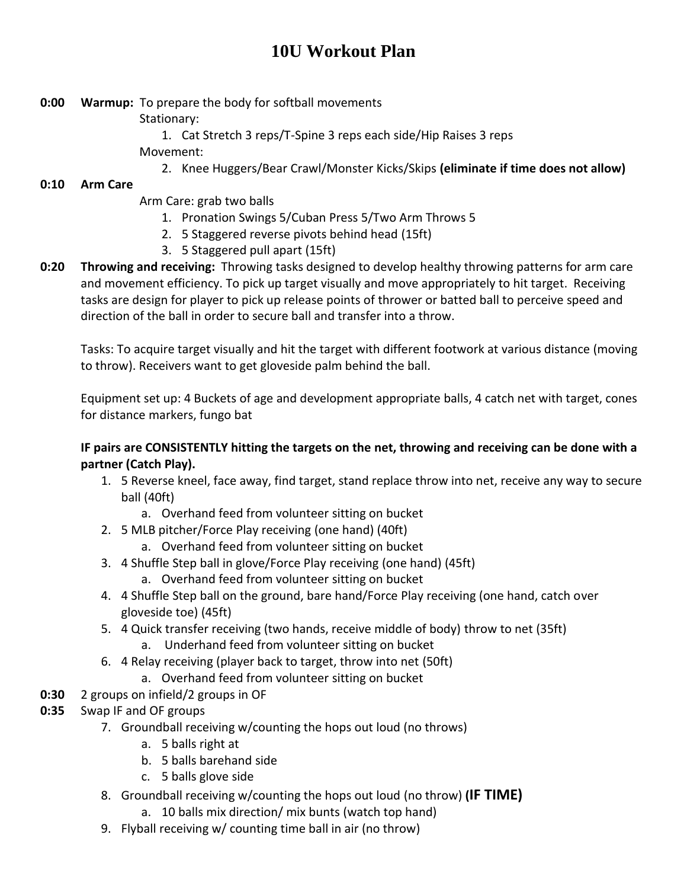# **10U Workout Plan**

- **0:00 Warmup:** To prepare the body for softball movements
	- Stationary:
	- 1. Cat Stretch 3 reps/T-Spine 3 reps each side/Hip Raises 3 reps Movement:
		- 2. Knee Huggers/Bear Crawl/Monster Kicks/Skips **(eliminate if time does not allow)**

## **0:10 Arm Care**

- Arm Care: grab two balls
	- 1. Pronation Swings 5/Cuban Press 5/Two Arm Throws 5
	- 2. 5 Staggered reverse pivots behind head (15ft)
	- 3. 5 Staggered pull apart (15ft)
- **0:20 Throwing and receiving:** Throwing tasks designed to develop healthy throwing patterns for arm care and movement efficiency. To pick up target visually and move appropriately to hit target. Receiving tasks are design for player to pick up release points of thrower or batted ball to perceive speed and direction of the ball in order to secure ball and transfer into a throw.

Tasks: To acquire target visually and hit the target with different footwork at various distance (moving to throw). Receivers want to get gloveside palm behind the ball.

Equipment set up: 4 Buckets of age and development appropriate balls, 4 catch net with target, cones for distance markers, fungo bat

### **IF pairs are CONSISTENTLY hitting the targets on the net, throwing and receiving can be done with a partner (Catch Play).**

- 1. 5 Reverse kneel, face away, find target, stand replace throw into net, receive any way to secure ball (40ft)
	- a. Overhand feed from volunteer sitting on bucket
- 2. 5 MLB pitcher/Force Play receiving (one hand) (40ft)
	- a. Overhand feed from volunteer sitting on bucket
- 3. 4 Shuffle Step ball in glove/Force Play receiving (one hand) (45ft)
	- a. Overhand feed from volunteer sitting on bucket
- 4. 4 Shuffle Step ball on the ground, bare hand/Force Play receiving (one hand, catch over gloveside toe) (45ft)
- 5. 4 Quick transfer receiving (two hands, receive middle of body) throw to net (35ft) a. Underhand feed from volunteer sitting on bucket
- 6. 4 Relay receiving (player back to target, throw into net (50ft)
	- a. Overhand feed from volunteer sitting on bucket
- **0:30** 2 groups on infield/2 groups in OF
- **0:35** Swap IF and OF groups
	- 7. Groundball receiving w/counting the hops out loud (no throws)
		- a. 5 balls right at
		- b. 5 balls barehand side
		- c. 5 balls glove side
	- 8. Groundball receiving w/counting the hops out loud (no throw) **(IF TIME)**
		- a. 10 balls mix direction/ mix bunts (watch top hand)
	- 9. Flyball receiving w/ counting time ball in air (no throw)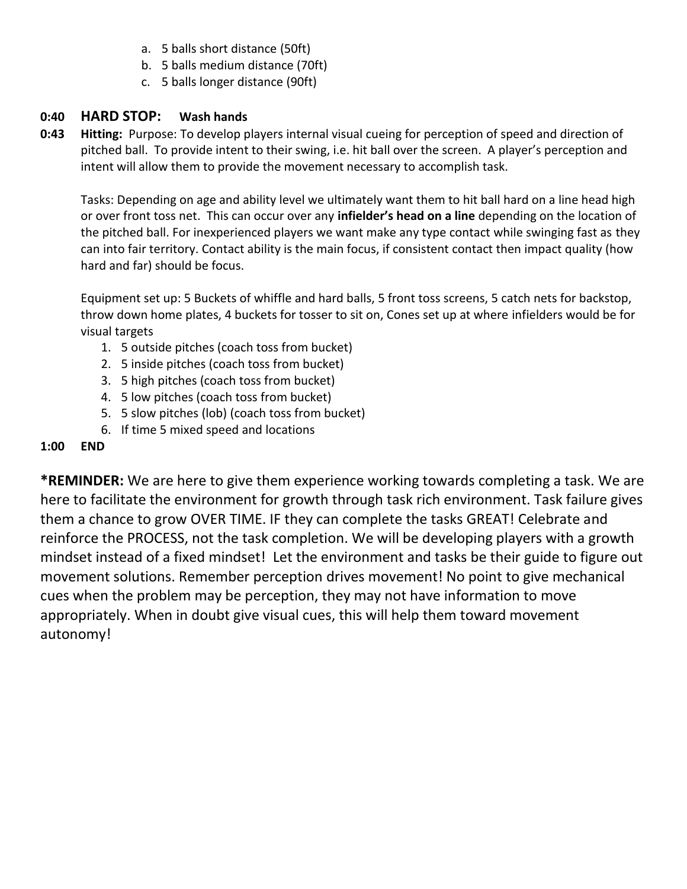- a. 5 balls short distance (50ft)
- b. 5 balls medium distance (70ft)
- c. 5 balls longer distance (90ft)

### **0:40 HARD STOP: Wash hands**

**0:43 Hitting:** Purpose: To develop players internal visual cueing for perception of speed and direction of pitched ball. To provide intent to their swing, i.e. hit ball over the screen. A player's perception and intent will allow them to provide the movement necessary to accomplish task.

Tasks: Depending on age and ability level we ultimately want them to hit ball hard on a line head high or over front toss net. This can occur over any **infielder's head on a line** depending on the location of the pitched ball. For inexperienced players we want make any type contact while swinging fast as they can into fair territory. Contact ability is the main focus, if consistent contact then impact quality (how hard and far) should be focus.

Equipment set up: 5 Buckets of whiffle and hard balls, 5 front toss screens, 5 catch nets for backstop, throw down home plates, 4 buckets for tosser to sit on, Cones set up at where infielders would be for visual targets

- 1. 5 outside pitches (coach toss from bucket)
- 2. 5 inside pitches (coach toss from bucket)
- 3. 5 high pitches (coach toss from bucket)
- 4. 5 low pitches (coach toss from bucket)
- 5. 5 slow pitches (lob) (coach toss from bucket)
- 6. If time 5 mixed speed and locations

#### **1:00 END**

**\*REMINDER:** We are here to give them experience working towards completing a task. We are here to facilitate the environment for growth through task rich environment. Task failure gives them a chance to grow OVER TIME. IF they can complete the tasks GREAT! Celebrate and reinforce the PROCESS, not the task completion. We will be developing players with a growth mindset instead of a fixed mindset! Let the environment and tasks be their guide to figure out movement solutions. Remember perception drives movement! No point to give mechanical cues when the problem may be perception, they may not have information to move appropriately. When in doubt give visual cues, this will help them toward movement autonomy!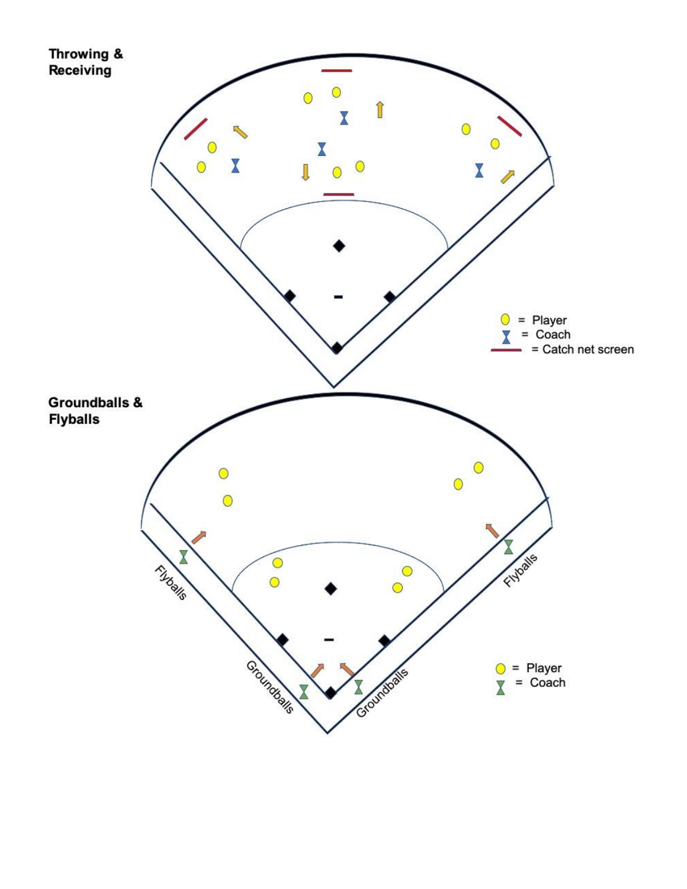